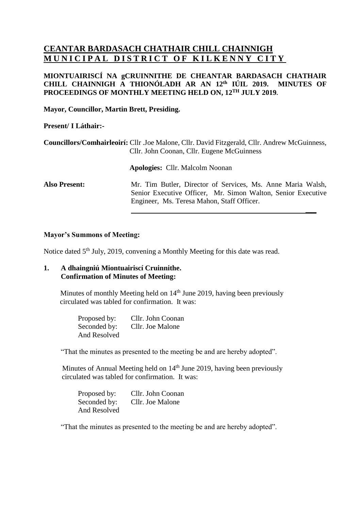# **CEANTAR BARDASACH CHATHAIR CHILL CHAINNIGH MUNICIPAL DISTRICT OF KILKENNY CITY**

# **MIONTUAIRISCÍ NA gCRUINNITHE DE CHEANTAR BARDASACH CHATHAIR CHILL CHAINNIGH A THIONÓLADH AR AN 12 th IÚIL 2019. MINUTES OF PROCEEDINGS OF MONTHLY MEETING HELD ON, 12 TH JULY 2019.**

**Mayor, Councillor, Martin Brett, Presiding.**

# **Present/ I Láthair:-**

|                      | Councillors/Comhairleoirí: Cllr .Joe Malone, Cllr. David Fitzgerald, Cllr. Andrew McGuinness,<br>Cllr. John Coonan, Cllr. Eugene McGuinness |
|----------------------|---------------------------------------------------------------------------------------------------------------------------------------------|
|                      | <b>Apologies:</b> Cllr. Malcolm Noonan                                                                                                      |
| <b>Also Present:</b> | Mr. Tim Butler, Director of Services, Ms. Anne Maria Walsh,<br>Senior Executive Officer, Mr. Simon Walton, Senior Executive                 |

Engineer, Ms. Teresa Mahon, Staff Officer.

**\_\_\_**

## **Mayor's Summons of Meeting:**

Notice dated 5<sup>th</sup> July, 2019, convening a Monthly Meeting for this date was read.

## **1. A dhaingniú Miontuairiscí Cruinnithe. Confirmation of Minutes of Meeting:**

Minutes of monthly Meeting held on 14<sup>th</sup> June 2019, having been previously circulated was tabled for confirmation. It was:

> Proposed by: Cllr. John Coonan Seconded by: Cllr. Joe Malone And Resolved

"That the minutes as presented to the meeting be and are hereby adopted".

Minutes of Annual Meeting held on  $14<sup>th</sup>$  June 2019, having been previously circulated was tabled for confirmation. It was:

Proposed by: Cllr. John Coonan Seconded by: Cllr. Joe Malone And Resolved

"That the minutes as presented to the meeting be and are hereby adopted".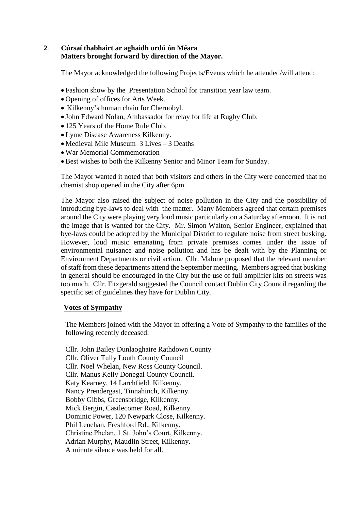# **2. Cúrsaí thabhairt ar aghaidh ordú ón Méara Matters brought forward by direction of the Mayor.**

The Mayor acknowledged the following Projects/Events which he attended/will attend:

- Fashion show by the Presentation School for transition year law team.
- Opening of offices for Arts Week.
- Kilkenny's human chain for Chernobyl.
- John Edward Nolan, Ambassador for relay for life at Rugby Club.
- 125 Years of the Home Rule Club.
- Lyme Disease Awareness Kilkenny.
- Medieval Mile Museum 3 Lives 3 Deaths
- War Memorial Commemoration
- Best wishes to both the Kilkenny Senior and Minor Team for Sunday.

The Mayor wanted it noted that both visitors and others in the City were concerned that no chemist shop opened in the City after 6pm.

The Mayor also raised the subject of noise pollution in the City and the possibility of introducing bye-laws to deal with the matter. Many Members agreed that certain premises around the City were playing very loud music particularly on a Saturday afternoon. It is not the image that is wanted for the City. Mr. Simon Walton, Senior Engineer, explained that bye-laws could be adopted by the Municipal District to regulate noise from street busking. However, loud music emanating from private premises comes under the issue of environmental nuisance and noise pollution and has be dealt with by the Planning or Environment Departments or civil action. Cllr. Malone proposed that the relevant member of staff from these departments attend the September meeting. Members agreed that busking in general should be encouraged in the City but the use of full amplifier kits on streets was too much. Cllr. Fitzgerald suggested the Council contact Dublin City Council regarding the specific set of guidelines they have for Dublin City.

## **Votes of Sympathy**

The Members joined with the Mayor in offering a Vote of Sympathy to the families of the following recently deceased:

Cllr. John Bailey Dunlaoghaire Rathdown County Cllr. Oliver Tully Louth County Council Cllr. Noel Whelan, New Ross County Council. Cllr. Manus Kelly Donegal County Council. Katy Kearney, 14 Larchfield. Kilkenny. Nancy Prendergast, Tinnahinch, Kilkenny. Bobby Gibbs, Greensbridge, Kilkenny. Mick Bergin, Castlecomer Road, Kilkenny. Dominic Power, 120 Newpark Close, Kilkenny. Phil Lenehan, Freshford Rd., Kilkenny. Christine Phelan, 1 St. John's Court, Kilkenny. Adrian Murphy, Maudlin Street, Kilkenny. A minute silence was held for all.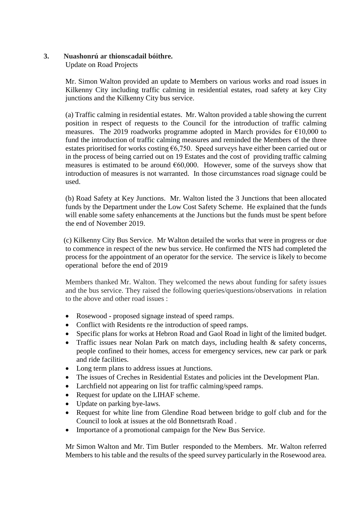# **3. Nuashonrú ar thionscadail bóithre.**

Update on Road Projects

Mr. Simon Walton provided an update to Members on various works and road issues in Kilkenny City including traffic calming in residential estates, road safety at key City junctions and the Kilkenny City bus service.

(a) Traffic calming in residential estates. Mr. Walton provided a table showing the current position in respect of requests to the Council for the introduction of traffic calming measures. The 2019 roadworks programme adopted in March provides for  $\epsilon$ 10,000 to fund the introduction of traffic calming measures and reminded the Members of the three estates prioritised for works costing  $\epsilon$ 6,750. Speed surveys have either been carried out or in the process of being carried out on 19 Estates and the cost of providing traffic calming measures is estimated to be around  $\epsilon$ 60,000. However, some of the surveys show that introduction of measures is not warranted. In those circumstances road signage could be used.

(b) Road Safety at Key Junctions. Mr. Walton listed the 3 Junctions that been allocated funds by the Department under the Low Cost Safety Scheme. He explained that the funds will enable some safety enhancements at the Junctions but the funds must be spent before the end of November 2019.

 (c) Kilkenny City Bus Service. Mr Walton detailed the works that were in progress or due to commence in respect of the new bus service. He confirmed the NTS had completed the process for the appointment of an operator for the service. The service is likely to become operational before the end of 2019

Members thanked Mr. Walton. They welcomed the news about funding for safety issues and the bus service. They raised the following queries/questions/observations in relation to the above and other road issues :

- Rosewood proposed signage instead of speed ramps.
- Conflict with Residents re the introduction of speed ramps.
- Specific plans for works at Hebron Road and Gaol Road in light of the limited budget.
- Traffic issues near Nolan Park on match days, including health & safety concerns, people confined to their homes, access for emergency services, new car park or park and ride facilities.
- Long term plans to address issues at Junctions.
- The issues of Creches in Residential Estates and policies int the Development Plan.
- Larchfield not appearing on list for traffic calming/speed ramps.
- Request for update on the LIHAF scheme.
- Update on parking bye-laws.
- Request for white line from Glendine Road between bridge to golf club and for the Council to look at issues at the old Bonnettsrath Road .
- Importance of a promotional campaign for the New Bus Service.

Mr Simon Walton and Mr. Tim Butler responded to the Members. Mr. Walton referred Members to his table and the results of the speed survey particularly in the Rosewood area.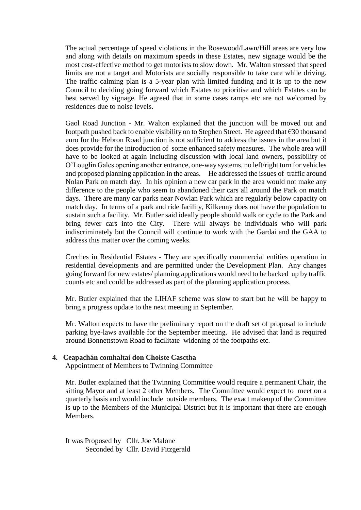The actual percentage of speed violations in the Rosewood/Lawn/Hill areas are very low and along with details on maximum speeds in these Estates, new signage would be the most cost-effective method to get motorists to slow down. Mr. Walton stressed that speed limits are not a target and Motorists are socially responsible to take care while driving. The traffic calming plan is a 5-year plan with limited funding and it is up to the new Council to deciding going forward which Estates to prioritise and which Estates can be best served by signage. He agreed that in some cases ramps etc are not welcomed by residences due to noise levels.

Gaol Road Junction - Mr. Walton explained that the junction will be moved out and footpath pushed back to enable visibility on to Stephen Street. He agreed that  $\epsilon$ 30 thousand euro for the Hebron Road junction is not sufficient to address the issues in the area but it does provide for the introduction of some enhanced safety measures. The whole area will have to be looked at again including discussion with local land owners, possibility of O'Louglin Gales opening another entrance, one-way systems, no left/right turn for vehicles and proposed planning application in the areas. He addressed the issues of traffic around Nolan Park on match day. In his opinion a new car park in the area would not make any difference to the people who seem to abandoned their cars all around the Park on match days. There are many car parks near Nowlan Park which are regularly below capacity on match day. In terms of a park and ride facility, Kilkenny does not have the population to sustain such a facility. Mr. Butler said ideally people should walk or cycle to the Park and bring fewer cars into the City. There will always be individuals who will park indiscriminately but the Council will continue to work with the Gardai and the GAA to address this matter over the coming weeks.

Creches in Residential Estates - They are specifically commercial entities operation in residential developments and are permitted under the Development Plan. Any changes going forward for new estates/ planning applications would need to be backed up by traffic counts etc and could be addressed as part of the planning application process.

Mr. Butler explained that the LIHAF scheme was slow to start but he will be happy to bring a progress update to the next meeting in September.

Mr. Walton expects to have the preliminary report on the draft set of proposal to include parking bye-laws available for the September meeting. He advised that land is required around Bonnettstown Road to facilitate widening of the footpaths etc.

## **4. Ceapachán comhaltaí don Choiste Casctha**

Appointment of Members to Twinning Committee

Mr. Butler explained that the Twinning Committee would require a permanent Chair, the sitting Mayor and at least 2 other Members. The Committee would expect to meet on a quarterly basis and would include outside members. The exact makeup of the Committee is up to the Members of the Municipal District but it is important that there are enough Members.

It was Proposed by Cllr. Joe Malone Seconded by Cllr. David Fitzgerald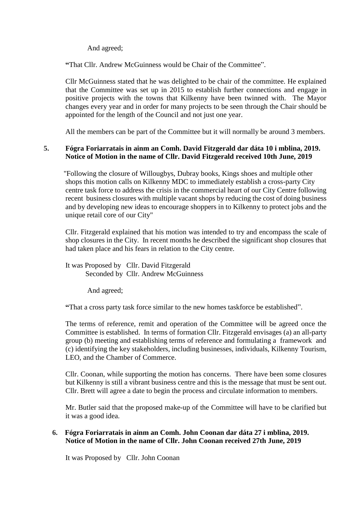And agreed;

**"**That Cllr. Andrew McGuinness would be Chair of the Committee".

Cllr McGuinness stated that he was delighted to be chair of the committee. He explained that the Committee was set up in 2015 to establish further connections and engage in positive projects with the towns that Kilkenny have been twinned with. The Mayor changes every year and in order for many projects to be seen through the Chair should be appointed for the length of the Council and not just one year.

All the members can be part of the Committee but it will normally be around 3 members.

# **5. Fógra Foriarratais in ainm an Comh. David Fitzgerald dar dáta 10 i mblina, 2019. Notice of Motion in the name of Cllr. David Fitzgerald received 10th June, 2019**

 "Following the closure of Willougbys, Dubray books, Kings shoes and multiple other shops this motion calls on Kilkenny MDC to immediately establish a cross-party City centre task force to address the crisis in the commercial heart of our City Centre following recent business closures with multiple vacant shops by reducing the cost of doing business and by developing new ideas to encourage shoppers in to Kilkenny to protect jobs and the unique retail core of our City"

Cllr. Fitzgerald explained that his motion was intended to try and encompass the scale of shop closures in the City. In recent months he described the significant shop closures that had taken place and his fears in relation to the City centre.

It was Proposed by Cllr. David Fitzgerald Seconded by Cllr. Andrew McGuinness

And agreed;

**"**That a cross party task force similar to the new homes taskforce be established".

The terms of reference, remit and operation of the Committee will be agreed once the Committee is established. In terms of formation Cllr. Fitzgerald envisages (a) an all-party group (b) meeting and establishing terms of reference and formulating a framework and (c) identifying the key stakeholders, including businesses, individuals, Kilkenny Tourism, LEO, and the Chamber of Commerce.

Cllr. Coonan, while supporting the motion has concerns. There have been some closures but Kilkenny is still a vibrant business centre and this is the message that must be sent out. Cllr. Brett will agree a date to begin the process and circulate information to members.

Mr. Butler said that the proposed make-up of the Committee will have to be clarified but it was a good idea.

# **6. Fógra Foriarratais in ainm an Comh. John Coonan dar dáta 27 i mblina, 2019. Notice of Motion in the name of Cllr. John Coonan received 27th June, 2019**

It was Proposed by Cllr. John Coonan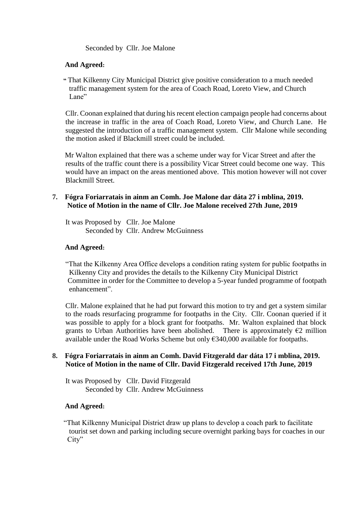Seconded by Cllr. Joe Malone

## **And Agreed:**

 **"** That Kilkenny City Municipal District give positive consideration to a much needed traffic management system for the area of Coach Road, Loreto View, and Church Lane"

Cllr. Coonan explained that during his recent election campaign people had concerns about the increase in traffic in the area of Coach Road, Loreto View, and Church Lane. He suggested the introduction of a traffic management system. Cllr Malone while seconding the motion asked if Blackmill street could be included.

 Mr Walton explained that there was a scheme under way for Vicar Street and after the results of the traffic count there is a possibility Vicar Street could become one way. This would have an impact on the areas mentioned above. This motion however will not cover Blackmill Street.

# **7. Fógra Foriarratais in ainm an Comh. Joe Malone dar dáta 27 i mblina, 2019. Notice of Motion in the name of Cllr. Joe Malone received 27th June, 2019**

It was Proposed by Cllr. Joe Malone Seconded by Cllr. Andrew McGuinness

# **And Agreed:**

 "That the Kilkenny Area Office develops a condition rating system for public footpaths in Kilkenny City and provides the details to the Kilkenny City Municipal District Committee in order for the Committee to develop a 5-year funded programme of footpath enhancement".

 Cllr. Malone explained that he had put forward this motion to try and get a system similar to the roads resurfacing programme for footpaths in the City. Cllr. Coonan queried if it was possible to apply for a block grant for footpaths. Mr. Walton explained that block grants to Urban Authorities have been abolished. There is approximately  $\epsilon_2$  million available under the Road Works Scheme but only  $\epsilon$ 340,000 available for footpaths.

# **8. Fógra Foriarratais in ainm an Comh. David Fitzgerald dar dáta 17 i mblina, 2019. Notice of Motion in the name of Cllr. David Fitzgerald received 17th June, 2019**

It was Proposed by Cllr. David Fitzgerald Seconded by Cllr. Andrew McGuinness

## **And Agreed:**

 "That Kilkenny Municipal District draw up plans to develop a coach park to facilitate tourist set down and parking including secure overnight parking bays for coaches in our City"